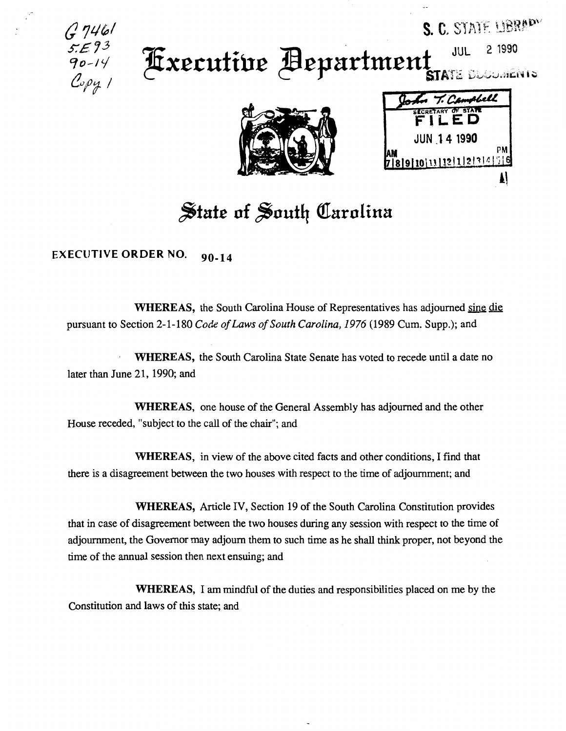*{} JL/1;,1 s:£73*  90-14 Copy T

## **JUL 2 1990** Fxecutive Aepartment STATE ELGLARIAN



| T. Campbell                      |    |
|----------------------------------|----|
| <b>CRETARY OF STATE</b><br>FILED |    |
| <b>JUN 14 1990</b>               |    |
| 78910111211211411                | PN |
|                                  |    |

S. C. STATE LIBRADY

## $\frac{1}{2}$ tate of South Carolina

EXECUTIVE ORDER NO. 90-14

WHEREAS, the South Carolina House of Representatives has adjourned sine die pursuant to Section 2-1-180 *Code of Laws of South Carolina, 1976* (1989 Cum. Supp.); and

WHEREAS, the South Carolina State Senate has voted to recede until a date no later than June 21, 1990; and

WHEREAS, one house of the General Assembly has adjourned and the other House receded, "subject to the call of the chair"; and

WHEREAS, in view of the above cited facts and other conditions, I find that there is a disagreement between the two houses with respect to the time of adjournment; and

WHEREAS, Article IV, Section 19 of the South Carolina Constitution provides that in case of disagreement between the two houses during any session with respect to the time of adjournment, the Governor may adjourn them to such time as he shall think proper, not beyond the time of the annual session then next ensuing; and

WHEREAS, I am mindful of the duties and responsibilities placed on me by the Constitution and laws of this state; and